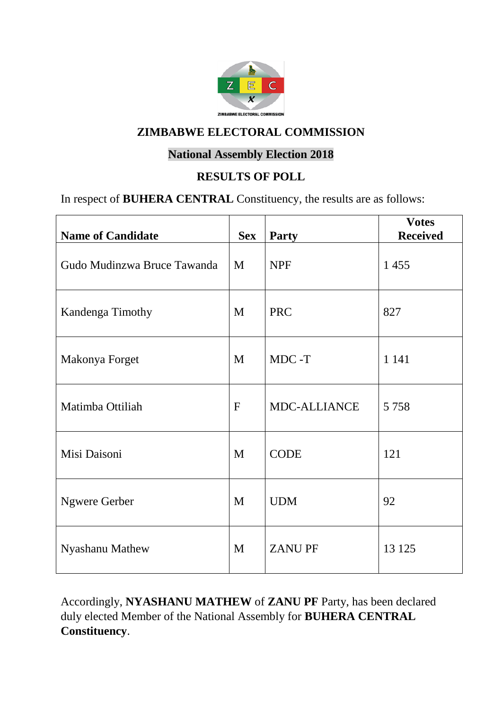

#### **National Assembly Election 2018**

#### **RESULTS OF POLL**

#### In respect of **BUHERA CENTRAL** Constituency, the results are as follows:

| <b>Name of Candidate</b>    | <b>Sex</b>   | <b>Party</b>        | <b>Votes</b><br><b>Received</b> |
|-----------------------------|--------------|---------------------|---------------------------------|
| Gudo Mudinzwa Bruce Tawanda | M            | <b>NPF</b>          | 1455                            |
| Kandenga Timothy            | M            | <b>PRC</b>          | 827                             |
| Makonya Forget              | M            | MDC-T               | 1 1 4 1                         |
| Matimba Ottiliah            | $\mathbf{F}$ | <b>MDC-ALLIANCE</b> | 5 7 5 8                         |
| Misi Daisoni                | M            | <b>CODE</b>         | 121                             |
| <b>Ngwere Gerber</b>        | M            | <b>UDM</b>          | 92                              |
| Nyashanu Mathew             | M            | <b>ZANUPF</b>       | 13 125                          |

Accordingly, **NYASHANU MATHEW** of **ZANU PF** Party, has been declared duly elected Member of the National Assembly for **BUHERA CENTRAL Constituency**.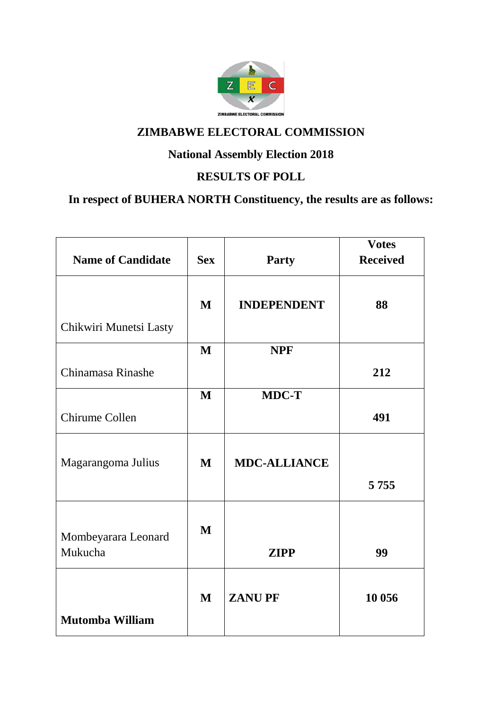

# **National Assembly Election 2018**

#### **RESULTS OF POLL**

# **In respect of BUHERA NORTH Constituency, the results are as follows:**

| <b>Name of Candidate</b>       | <b>Sex</b>   | <b>Party</b>        | <b>Votes</b><br><b>Received</b> |
|--------------------------------|--------------|---------------------|---------------------------------|
|                                | $\mathbf{M}$ | <b>INDEPENDENT</b>  | 88                              |
| Chikwiri Munetsi Lasty         |              |                     |                                 |
|                                | M            | <b>NPF</b>          |                                 |
| Chinamasa Rinashe              |              |                     | 212                             |
|                                | M            | <b>MDC-T</b>        |                                 |
| Chirume Collen                 |              |                     | 491                             |
| Magarangoma Julius             | M            | <b>MDC-ALLIANCE</b> |                                 |
|                                |              |                     | 5 7 5 5                         |
| Mombeyarara Leonard<br>Mukucha | $\mathbf{M}$ | <b>ZIPP</b>         | 99                              |
| <b>Mutomba William</b>         | $\mathbf{M}$ | <b>ZANUPF</b>       | 10 056                          |
|                                |              |                     |                                 |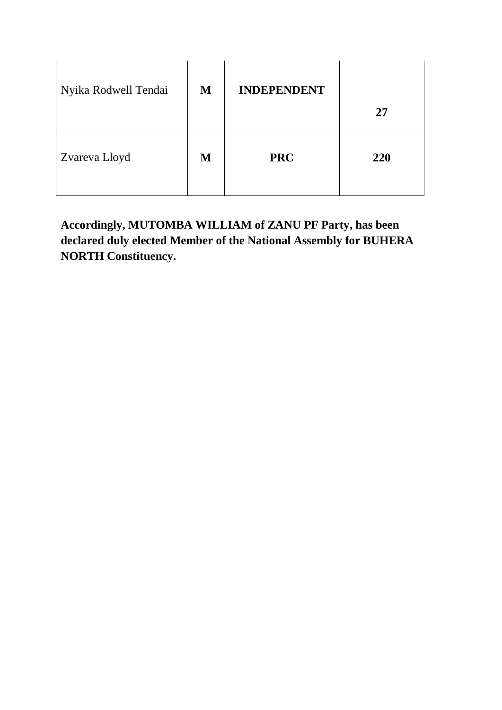| Nyika Rodwell Tendai | M | <b>INDEPENDENT</b> | 27  |
|----------------------|---|--------------------|-----|
| Zvareva Lloyd        | M | <b>PRC</b>         | 220 |

**Accordingly, MUTOMBA WILLIAM of ZANU PF Party, has been declared duly elected Member of the National Assembly for BUHERA NORTH Constituency.**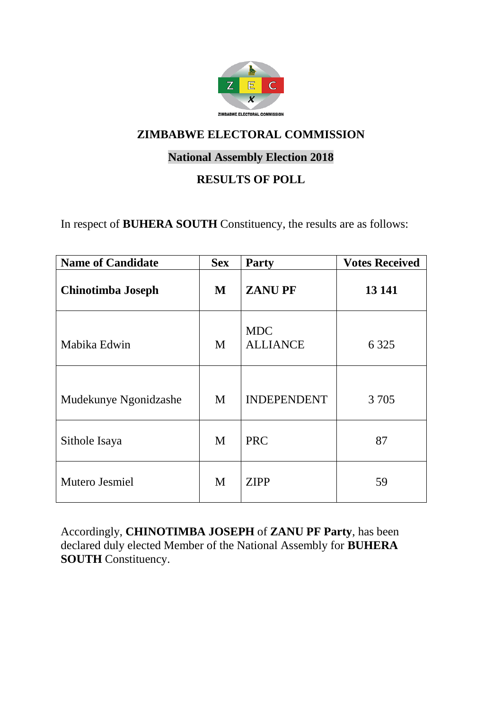

#### **National Assembly Election 2018**

#### **RESULTS OF POLL**

In respect of **BUHERA SOUTH** Constituency, the results are as follows:

| <b>Name of Candidate</b> | <b>Sex</b> | <b>Party</b>                  | <b>Votes Received</b> |
|--------------------------|------------|-------------------------------|-----------------------|
| Chinotimba Joseph        | M          | <b>ZANUPF</b>                 | 13 14 1               |
| Mabika Edwin             | M          | <b>MDC</b><br><b>ALLIANCE</b> | 6 3 2 5               |
| Mudekunye Ngonidzashe    | M          | <b>INDEPENDENT</b>            | 3 7 0 5               |
| Sithole Isaya            | M          | <b>PRC</b>                    | 87                    |
| Mutero Jesmiel           | M          | <b>ZIPP</b>                   | 59                    |

Accordingly, **CHINOTIMBA JOSEPH** of **ZANU PF Party**, has been declared duly elected Member of the National Assembly for **BUHERA SOUTH** Constituency.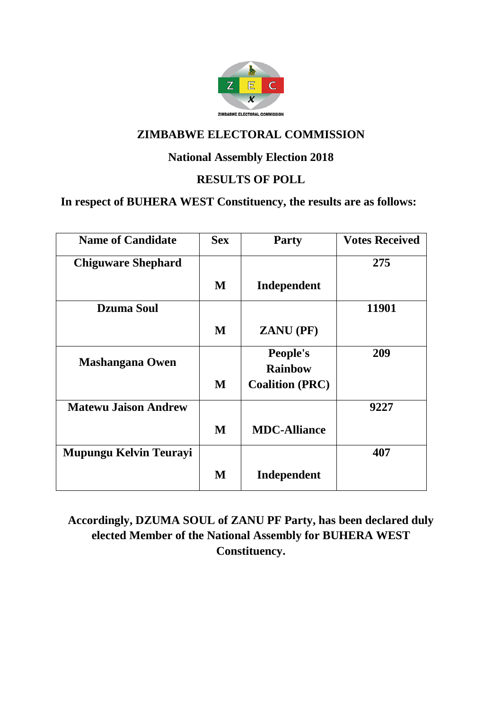

#### **National Assembly Election 2018**

#### **RESULTS OF POLL**

#### **In respect of BUHERA WEST Constituency, the results are as follows:**

| <b>Name of Candidate</b>    | <b>Sex</b> | <b>Party</b>           | <b>Votes Received</b> |
|-----------------------------|------------|------------------------|-----------------------|
| <b>Chiguware Shephard</b>   |            |                        | 275                   |
|                             | M          | Independent            |                       |
| <b>Dzuma Soul</b>           |            |                        | 11901                 |
|                             | M          | <b>ZANU</b> (PF)       |                       |
| <b>Mashangana Owen</b>      |            | People's               | 209                   |
|                             |            | <b>Rainbow</b>         |                       |
|                             | M          | <b>Coalition (PRC)</b> |                       |
| <b>Matewu Jaison Andrew</b> |            |                        | 9227                  |
|                             | M          | <b>MDC-Alliance</b>    |                       |
| Mupungu Kelvin Teurayi      |            |                        | 407                   |
|                             | M          | Independent            |                       |

**Accordingly, DZUMA SOUL of ZANU PF Party, has been declared duly elected Member of the National Assembly for BUHERA WEST Constituency.**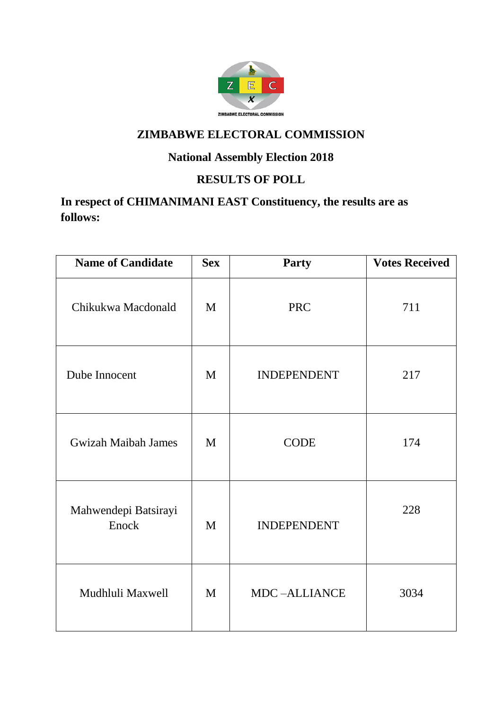

# **National Assembly Election 2018**

## **RESULTS OF POLL**

# **In respect of CHIMANIMANI EAST Constituency, the results are as follows:**

| <b>Name of Candidate</b>      | <b>Sex</b> | <b>Party</b>        | <b>Votes Received</b> |
|-------------------------------|------------|---------------------|-----------------------|
| Chikukwa Macdonald            | M          | <b>PRC</b>          | 711                   |
| Dube Innocent                 | M          | <b>INDEPENDENT</b>  | 217                   |
| <b>Gwizah Maibah James</b>    | M          | <b>CODE</b>         | 174                   |
| Mahwendepi Batsirayi<br>Enock | M          | <b>INDEPENDENT</b>  | 228                   |
| Mudhluli Maxwell              | M          | <b>MDC-ALLIANCE</b> | 3034                  |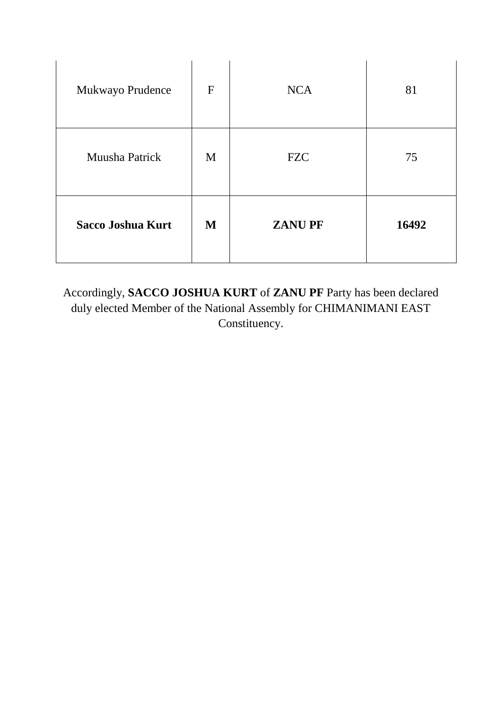| Mukwayo Prudence         | $\mathbf{F}$ | <b>NCA</b>    | 81    |
|--------------------------|--------------|---------------|-------|
| Muusha Patrick           | M            | <b>FZC</b>    | 75    |
| <b>Sacco Joshua Kurt</b> | M            | <b>ZANUPF</b> | 16492 |

Accordingly, **SACCO JOSHUA KURT** of **ZANU PF** Party has been declared duly elected Member of the National Assembly for CHIMANIMANI EAST Constituency.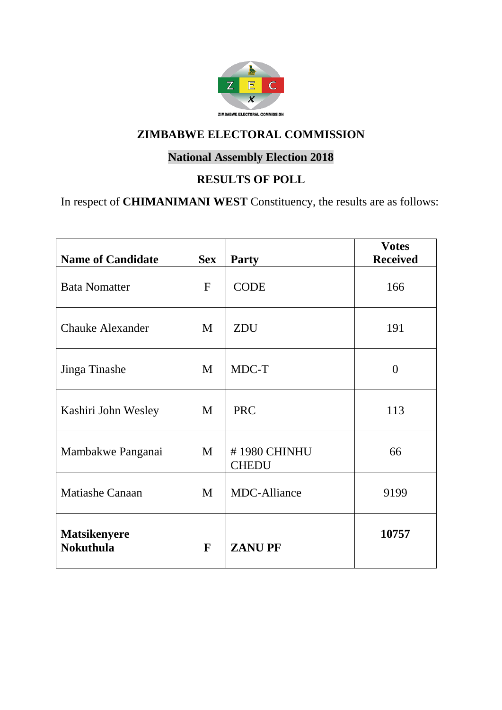

# **National Assembly Election 2018**

#### **RESULTS OF POLL**

In respect of **CHIMANIMANI WEST** Constituency, the results are as follows:

| <b>Name of Candidate</b>                | <b>Sex</b>   | <b>Party</b>                 | <b>Votes</b><br><b>Received</b> |
|-----------------------------------------|--------------|------------------------------|---------------------------------|
| <b>Bata Nomatter</b>                    | $\mathbf{F}$ | <b>CODE</b>                  | 166                             |
| <b>Chauke Alexander</b>                 | M            | <b>ZDU</b>                   | 191                             |
| Jinga Tinashe                           | M            | MDC-T                        | $\overline{0}$                  |
| Kashiri John Wesley                     | M            | <b>PRC</b>                   | 113                             |
| Mambakwe Panganai                       | M            | #1980 CHINHU<br><b>CHEDU</b> | 66                              |
| <b>Matiashe Canaan</b>                  | M            | <b>MDC-Alliance</b>          | 9199                            |
| <b>Matsikenyere</b><br><b>Nokuthula</b> | F            | <b>ZANUPF</b>                | 10757                           |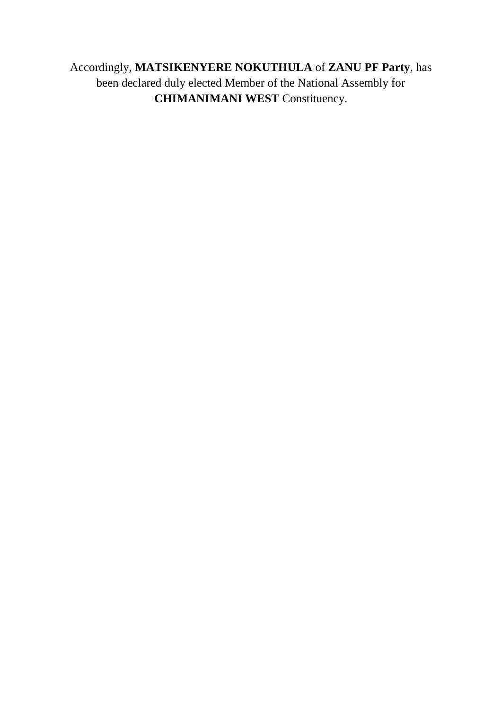# Accordingly, **MATSIKENYERE NOKUTHULA** of **ZANU PF Party**, has been declared duly elected Member of the National Assembly for **CHIMANIMANI WEST** Constituency.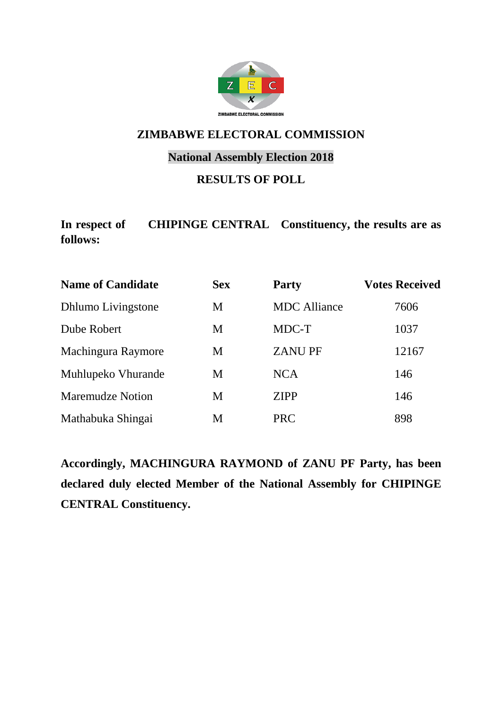

#### **National Assembly Election 2018**

#### **RESULTS OF POLL**

**In respect of CHIPINGE CENTRAL Constituency, the results are as follows:**

| <b>Name of Candidate</b>  | <b>Sex</b> | <b>Party</b>        | <b>Votes Received</b> |
|---------------------------|------------|---------------------|-----------------------|
| <b>Dhlumo Livingstone</b> | M          | <b>MDC</b> Alliance | 7606                  |
| Dube Robert               | M          | MDC-T               | 1037                  |
| Machingura Raymore        | M          | <b>ZANUPF</b>       | 12167                 |
| Muhlupeko Vhurande        | M          | <b>NCA</b>          | 146                   |
| <b>Maremudze Notion</b>   | M          | <b>ZIPP</b>         | 146                   |
| Mathabuka Shingai         | M          | <b>PRC</b>          | 898                   |

**Accordingly, MACHINGURA RAYMOND of ZANU PF Party, has been declared duly elected Member of the National Assembly for CHIPINGE CENTRAL Constituency.**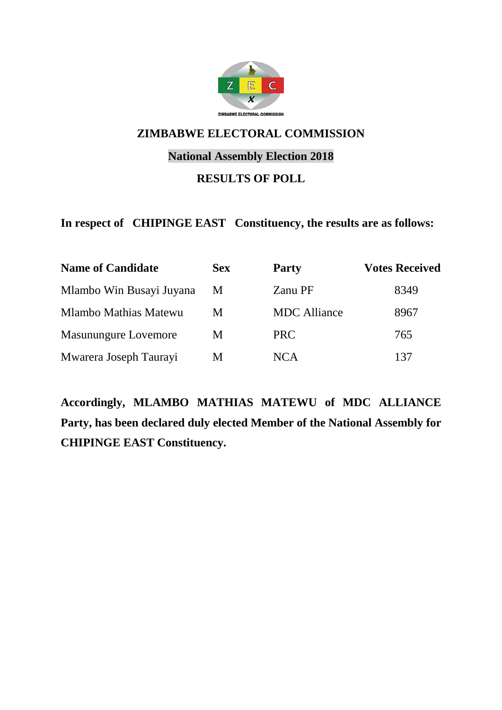

#### **National Assembly Election 2018**

#### **RESULTS OF POLL**

#### **In respect of CHIPINGE EAST Constituency, the results are as follows:**

| <b>Name of Candidate</b>    | <b>Sex</b> | <b>Party</b>        | <b>Votes Received</b> |
|-----------------------------|------------|---------------------|-----------------------|
| Mlambo Win Busayi Juyana    | M          | Zanu PF             | 8349                  |
| Mlambo Mathias Matewu       | M          | <b>MDC</b> Alliance | 8967                  |
| <b>Masunungure Lovemore</b> | M          | <b>PRC</b>          | 765                   |
| Mwarera Joseph Taurayi      | М          | <b>NCA</b>          | 137                   |

**Accordingly, MLAMBO MATHIAS MATEWU of MDC ALLIANCE Party, has been declared duly elected Member of the National Assembly for CHIPINGE EAST Constituency.**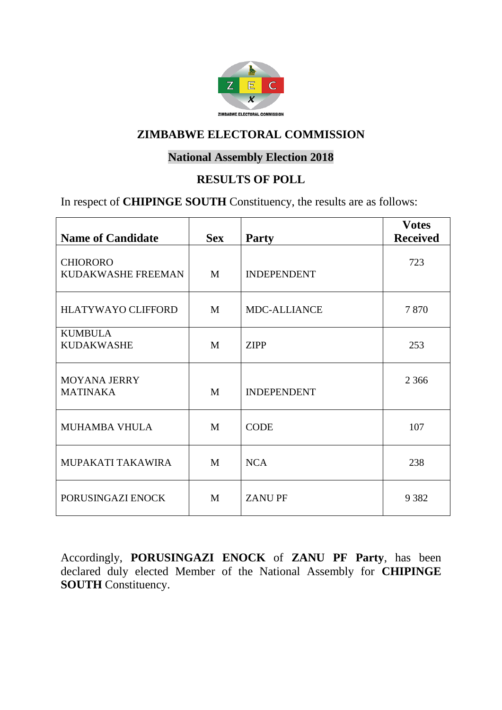

#### **National Assembly Election 2018**

#### **RESULTS OF POLL**

In respect of **CHIPINGE SOUTH** Constituency, the results are as follows:

| <b>Name of Candidate</b>               | <b>Sex</b> | <b>Party</b>       | <b>Votes</b><br><b>Received</b> |
|----------------------------------------|------------|--------------------|---------------------------------|
| <b>CHIORORO</b><br>KUDAKWASHE FREEMAN  | M          | <b>INDEPENDENT</b> | 723                             |
| <b>HLATYWAYO CLIFFORD</b>              | M          | MDC-ALLIANCE       | 7870                            |
| <b>KUMBULA</b><br><b>KUDAKWASHE</b>    | M          | <b>ZIPP</b>        | 253                             |
| <b>MOYANA JERRY</b><br><b>MATINAKA</b> | M          | <b>INDEPENDENT</b> | 2 3 6 6                         |
| <b>MUHAMBA VHULA</b>                   | M          | <b>CODE</b>        | 107                             |
| MUPAKATI TAKAWIRA                      | M          | <b>NCA</b>         | 238                             |
| PORUSINGAZI ENOCK                      | M          | <b>ZANUPF</b>      | 9 3 8 2                         |

Accordingly, **PORUSINGAZI ENOCK** of **ZANU PF Party**, has been declared duly elected Member of the National Assembly for **CHIPINGE SOUTH** Constituency.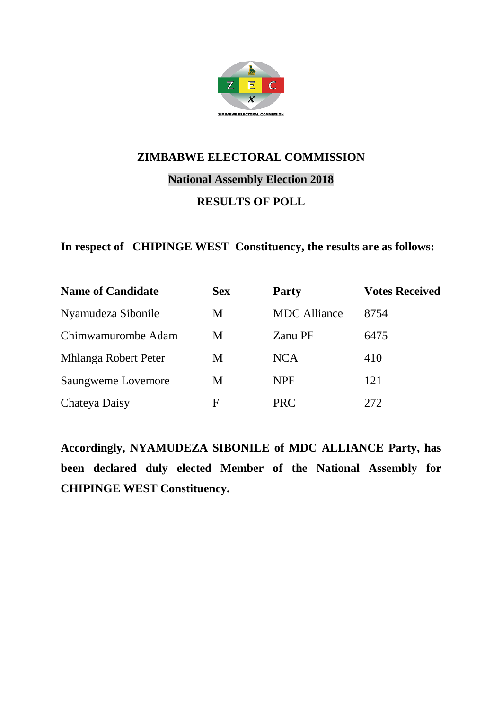

# **ZIMBABWE ELECTORAL COMMISSION National Assembly Election 2018 RESULTS OF POLL**

#### **In respect of CHIPINGE WEST Constituency, the results are as follows:**

| <b>Name of Candidate</b> | <b>Sex</b>  | <b>Party</b>        | <b>Votes Received</b> |
|--------------------------|-------------|---------------------|-----------------------|
| Nyamudeza Sibonile       | M           | <b>MDC</b> Alliance | 8754                  |
| Chimwamurombe Adam       | M           | Zanu PF             | 6475                  |
| Mhlanga Robert Peter     | M           | <b>NCA</b>          | 410                   |
| Saungweme Lovemore       | M           | <b>NPF</b>          | 121                   |
| Chateya Daisy            | $\mathbf F$ | <b>PRC</b>          | 272                   |

**Accordingly, NYAMUDEZA SIBONILE of MDC ALLIANCE Party, has been declared duly elected Member of the National Assembly for CHIPINGE WEST Constituency.**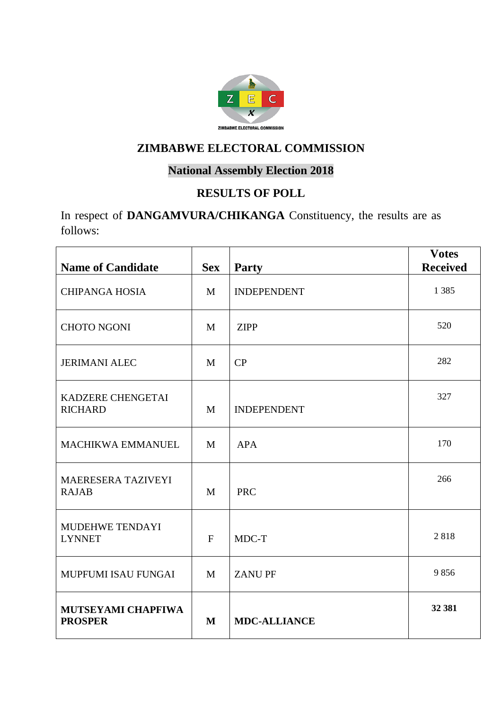

#### **National Assembly Election 2018**

## **RESULTS OF POLL**

In respect of **DANGAMVURA/CHIKANGA** Constituency, the results are as follows:

| <b>Name of Candidate</b>             | <b>Sex</b>   | <b>Party</b>        | <b>Votes</b><br><b>Received</b> |
|--------------------------------------|--------------|---------------------|---------------------------------|
| <b>CHIPANGA HOSIA</b>                | M            | <b>INDEPENDENT</b>  | 1 3 8 5                         |
| <b>CHOTO NGONI</b>                   | M            | <b>ZIPP</b>         | 520                             |
| <b>JERIMANI ALEC</b>                 | $\mathbf{M}$ | CP                  | 282                             |
| KADZERE CHENGETAI<br><b>RICHARD</b>  | M            | <b>INDEPENDENT</b>  | 327                             |
| <b>MACHIKWA EMMANUEL</b>             | M            | <b>APA</b>          | 170                             |
| MAERESERA TAZIVEYI<br><b>RAJAB</b>   | $\mathbf{M}$ | <b>PRC</b>          | 266                             |
| MUDEHWE TENDAYI<br><b>LYNNET</b>     | $\mathbf{F}$ | MDC-T               | 2818                            |
| MUPFUMI ISAU FUNGAI                  | M            | <b>ZANUPF</b>       | 9856                            |
| MUTSEYAMI CHAPFIWA<br><b>PROSPER</b> | M            | <b>MDC-ALLIANCE</b> | 32 381                          |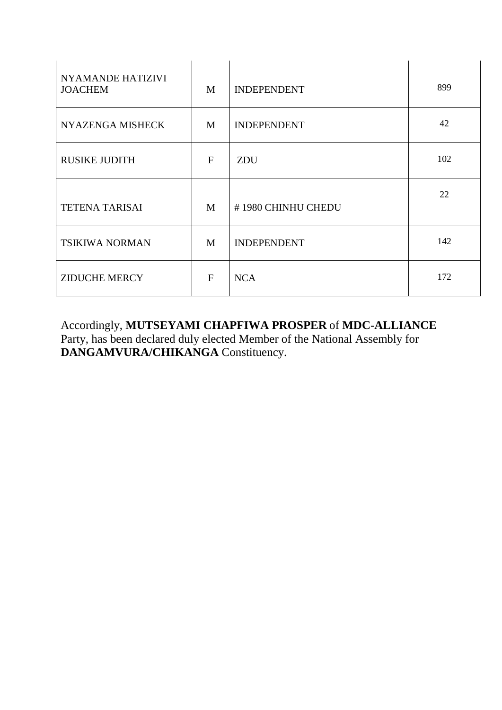| <b>NYAMANDE HATIZIVI</b><br><b>JOACHEM</b> | M            | <b>INDEPENDENT</b> | 899 |
|--------------------------------------------|--------------|--------------------|-----|
| NYAZENGA MISHECK                           | M            | <b>INDEPENDENT</b> | 42  |
| <b>RUSIKE JUDITH</b>                       | $\mathbf{F}$ | ZDU                | 102 |
| <b>TETENA TARISAI</b>                      | M            | #1980 CHINHU CHEDU | 22  |
| TSIKIWA NORMAN                             | M            | <b>INDEPENDENT</b> | 142 |
| <b>ZIDUCHE MERCY</b>                       | F            | <b>NCA</b>         | 172 |

Accordingly, **MUTSEYAMI CHAPFIWA PROSPER** of **MDC-ALLIANCE** Party, has been declared duly elected Member of the National Assembly for **DANGAMVURA/CHIKANGA** Constituency.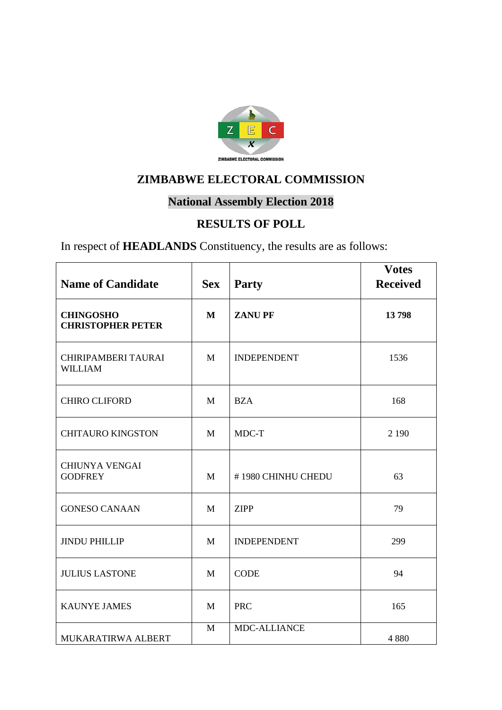

# **National Assembly Election 2018**

## **RESULTS OF POLL**

In respect of **HEADLANDS** Constituency, the results are as follows:

| <b>Name of Candidate</b>                     | <b>Sex</b>   | <b>Party</b>       | <b>Votes</b><br><b>Received</b> |
|----------------------------------------------|--------------|--------------------|---------------------------------|
| <b>CHINGOSHO</b><br><b>CHRISTOPHER PETER</b> | M            | <b>ZANUPF</b>      | 13798                           |
| CHIRIPAMBERI TAURAI<br><b>WILLIAM</b>        | $\mathbf{M}$ | <b>INDEPENDENT</b> | 1536                            |
| <b>CHIRO CLIFORD</b>                         | M            | <b>BZA</b>         | 168                             |
| <b>CHITAURO KINGSTON</b>                     | M            | MDC-T              | 2 1 9 0                         |
| <b>CHIUNYA VENGAI</b><br><b>GODFREY</b>      | M            | #1980 CHINHU CHEDU | 63                              |
| <b>GONESO CANAAN</b>                         | M            | <b>ZIPP</b>        | 79                              |
| <b>JINDU PHILLIP</b>                         | M            | <b>INDEPENDENT</b> | 299                             |
| <b>JULIUS LASTONE</b>                        | M            | <b>CODE</b>        | 94                              |
| <b>KAUNYE JAMES</b>                          | M            | <b>PRC</b>         | 165                             |
| MUKARATIRWA ALBERT                           | M            | MDC-ALLIANCE       | 4880                            |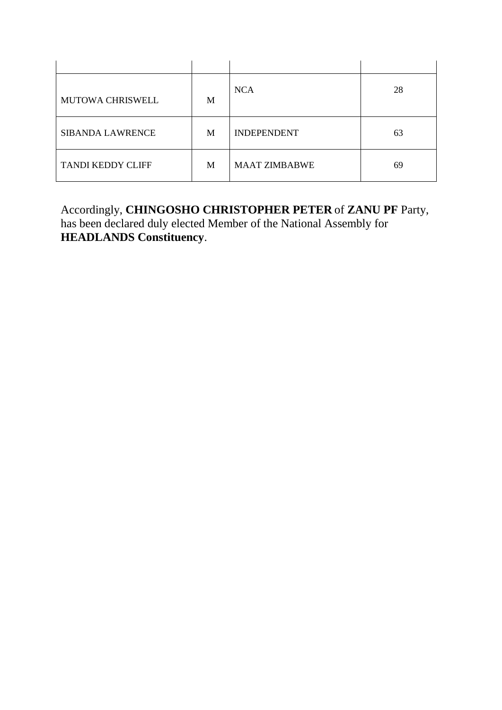| <b>MUTOWA CHRISWELL</b>  | M | <b>NCA</b>           | 28 |
|--------------------------|---|----------------------|----|
| <b>SIBANDA LAWRENCE</b>  | M | <b>INDEPENDENT</b>   | 63 |
| <b>TANDI KEDDY CLIFF</b> | M | <b>MAAT ZIMBABWE</b> | 69 |

Accordingly, **CHINGOSHO CHRISTOPHER PETER** of **ZANU PF** Party, has been declared duly elected Member of the National Assembly for **HEADLANDS Constituency**.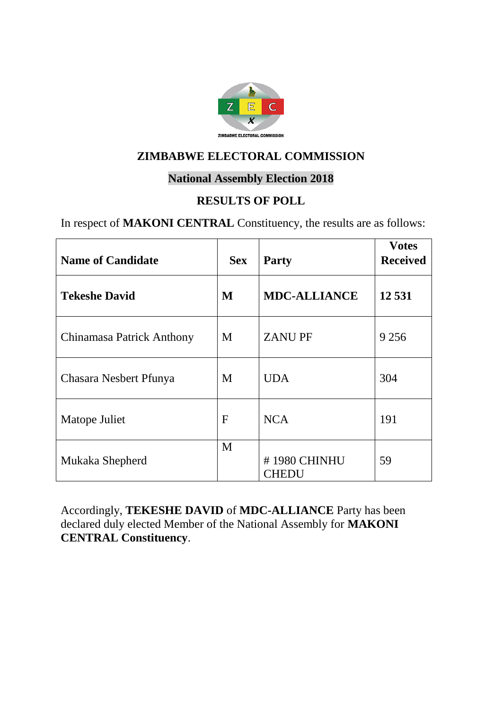

#### **National Assembly Election 2018**

#### **RESULTS OF POLL**

In respect of **MAKONI CENTRAL** Constituency, the results are as follows:

| <b>Name of Candidate</b>  | <b>Sex</b>  | <b>Party</b>          | <b>Votes</b><br><b>Received</b> |
|---------------------------|-------------|-----------------------|---------------------------------|
| <b>Tekeshe David</b>      | M           | <b>MDC-ALLIANCE</b>   | 12531                           |
| Chinamasa Patrick Anthony | M           | <b>ZANUPF</b>         | 9 2 5 6                         |
| Chasara Nesbert Pfunya    | M           | <b>UDA</b>            | 304                             |
| Matope Juliet             | $\mathbf F$ | <b>NCA</b>            | 191                             |
| Mukaka Shepherd           | M           | #1980 CHINHU<br>CHEDU | 59                              |

Accordingly, **TEKESHE DAVID** of **MDC-ALLIANCE** Party has been declared duly elected Member of the National Assembly for **MAKONI CENTRAL Constituency**.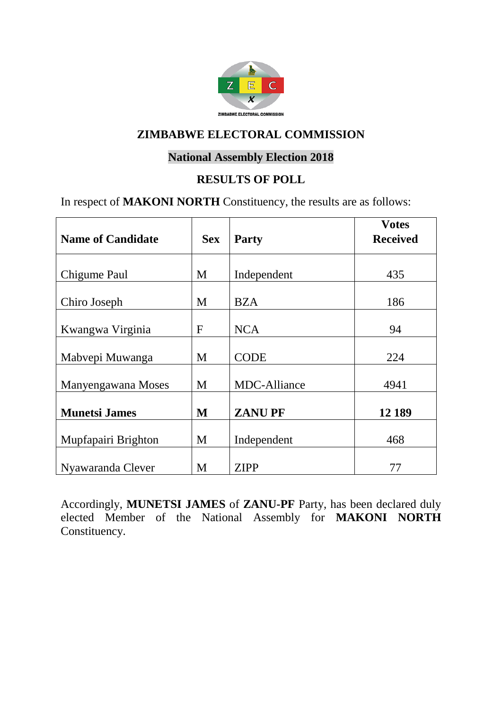

#### **National Assembly Election 2018**

#### **RESULTS OF POLL**

In respect of **MAKONI NORTH** Constituency, the results are as follows:

|                          |             |                     | <b>Votes</b>    |
|--------------------------|-------------|---------------------|-----------------|
| <b>Name of Candidate</b> | <b>Sex</b>  | <b>Party</b>        | <b>Received</b> |
|                          |             |                     |                 |
| Chigume Paul             | M           | Independent         | 435             |
| Chiro Joseph             | M           | <b>BZA</b>          | 186             |
| Kwangwa Virginia         | $\mathbf F$ | <b>NCA</b>          | 94              |
| Mabvepi Muwanga          | M           | <b>CODE</b>         | 224             |
| Manyengawana Moses       | M           | <b>MDC-Alliance</b> | 4941            |
| <b>Munetsi James</b>     | M           | <b>ZANUPF</b>       | 12 189          |
| Mupfapairi Brighton      | M           | Independent         | 468             |
| Nyawaranda Clever        | M           | <b>ZIPP</b>         | 77              |

Accordingly, **MUNETSI JAMES** of **ZANU-PF** Party, has been declared duly elected Member of the National Assembly for **MAKONI NORTH**  Constituency.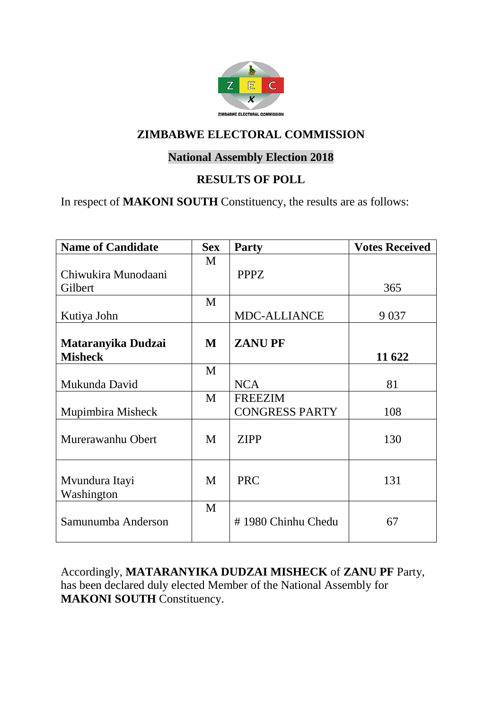

#### **National Assembly Election 2018**

#### **RESULTS OF POLL**

In respect of **MAKONI SOUTH** Constituency, the results are as follows:

| <b>Name of Candidate</b> | <b>Sex</b> | <b>Party</b>          | <b>Votes Received</b> |
|--------------------------|------------|-----------------------|-----------------------|
|                          | M          |                       |                       |
| Chiwukira Munodaani      |            | <b>PPPZ</b>           |                       |
| Gilbert                  |            |                       | 365                   |
|                          | M          |                       |                       |
| Kutiya John              |            | <b>MDC-ALLIANCE</b>   | 9 0 37                |
|                          |            |                       |                       |
| Mataranyika Dudzai       | M          | <b>ZANUPF</b>         |                       |
| <b>Misheck</b>           |            |                       | 11 622                |
|                          | M          |                       |                       |
| Mukunda David            |            | <b>NCA</b>            | 81                    |
|                          | M          | <b>FREEZIM</b>        |                       |
| Mupimbira Misheck        |            | <b>CONGRESS PARTY</b> | 108                   |
| Murerawanhu Obert        | M          | <b>ZIPP</b>           | 130                   |
|                          |            |                       |                       |
| Mvundura Itayi           | M          | <b>PRC</b>            | 131                   |
| Washington               |            |                       |                       |
|                          | M          |                       |                       |
| Samunumba Anderson       |            | #1980 Chinhu Chedu    | 67                    |

Accordingly, **MATARANYIKA DUDZAI MISHECK** of **ZANU PF** Party, has been declared duly elected Member of the National Assembly for **MAKONI SOUTH** Constituency.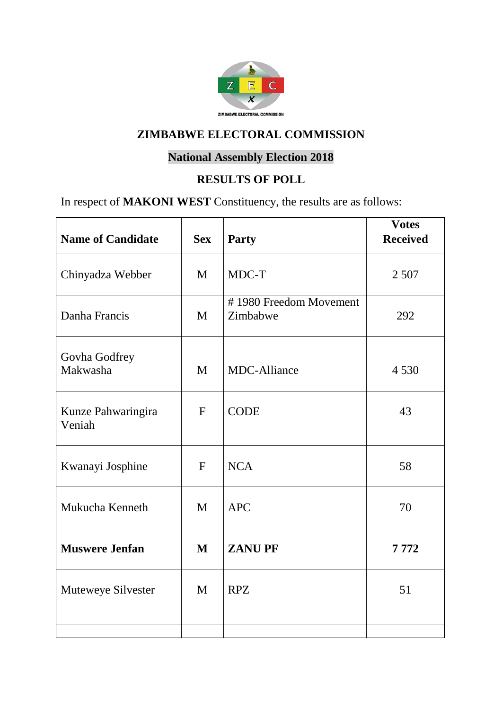

# **National Assembly Election 2018**

#### **RESULTS OF POLL**

In respect of **MAKONI WEST** Constituency, the results are as follows:

| <b>Name of Candidate</b>     | <b>Sex</b>   | <b>Party</b>                       | <b>Votes</b><br><b>Received</b> |
|------------------------------|--------------|------------------------------------|---------------------------------|
| Chinyadza Webber             | M            | MDC-T                              | 2 5 0 7                         |
| Danha Francis                | M            | #1980 Freedom Movement<br>Zimbabwe | 292                             |
| Govha Godfrey<br>Makwasha    | M            | <b>MDC-Alliance</b>                | 4 5 3 0                         |
| Kunze Pahwaringira<br>Veniah | $\mathbf{F}$ | <b>CODE</b>                        | 43                              |
| Kwanayi Josphine             | $F_{\rm}$    | <b>NCA</b>                         | 58                              |
| Mukucha Kenneth              | M            | <b>APC</b>                         | 70                              |
| <b>Muswere Jenfan</b>        | $\mathbf{M}$ | <b>ZANUPF</b>                      | 7772                            |
| Muteweye Silvester           | M            | <b>RPZ</b>                         | 51                              |
|                              |              |                                    |                                 |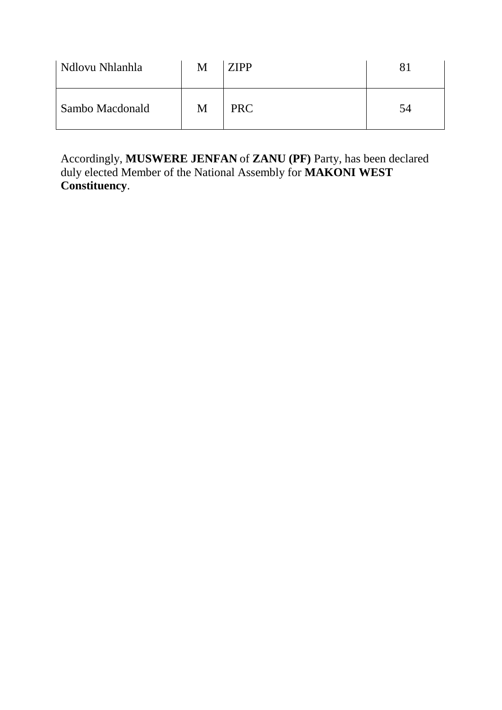| Ndlovu Nhlanhla | Μ | <b>ZIPP</b> |    |
|-----------------|---|-------------|----|
| Sambo Macdonald | M | <b>PRC</b>  | 54 |

Accordingly, **MUSWERE JENFAN** of **ZANU (PF)** Party, has been declared duly elected Member of the National Assembly for **MAKONI WEST Constituency**.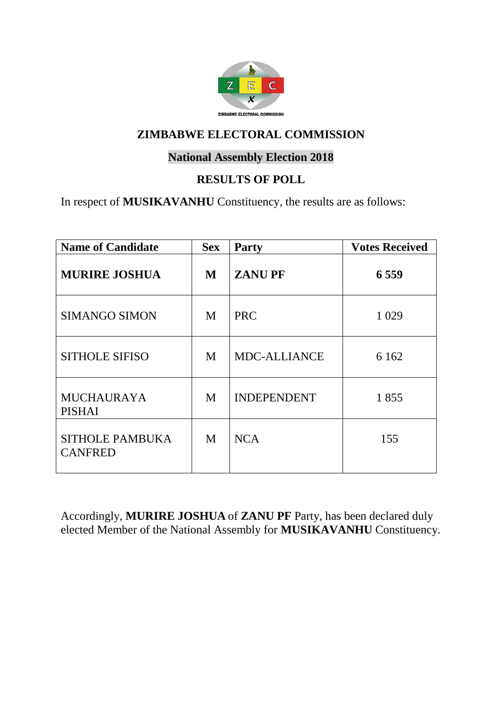

#### **National Assembly Election 2018**

#### **RESULTS OF POLL**

In respect of **MUSIKAVANHU** Constituency, the results are as follows:

| <b>Name of Candidate</b>                 | <b>Sex</b> | Party               | <b>Votes Received</b> |
|------------------------------------------|------------|---------------------|-----------------------|
| <b>MURIRE JOSHUA</b>                     | M          | <b>ZANUPF</b>       | 6 5 5 9               |
| <b>SIMANGO SIMON</b>                     | M          | <b>PRC</b>          | 1 0 29                |
| <b>SITHOLE SIFISO</b>                    | M          | <b>MDC-ALLIANCE</b> | 6 1 6 2               |
| <b>MUCHAURAYA</b><br><b>PISHAI</b>       | M          | <b>INDEPENDENT</b>  | 1855                  |
| <b>SITHOLE PAMBUKA</b><br><b>CANFRED</b> | M          | <b>NCA</b>          | 155                   |

Accordingly, **MURIRE JOSHUA** of **ZANU PF** Party, has been declared duly elected Member of the National Assembly for **MUSIKAVANHU** Constituency.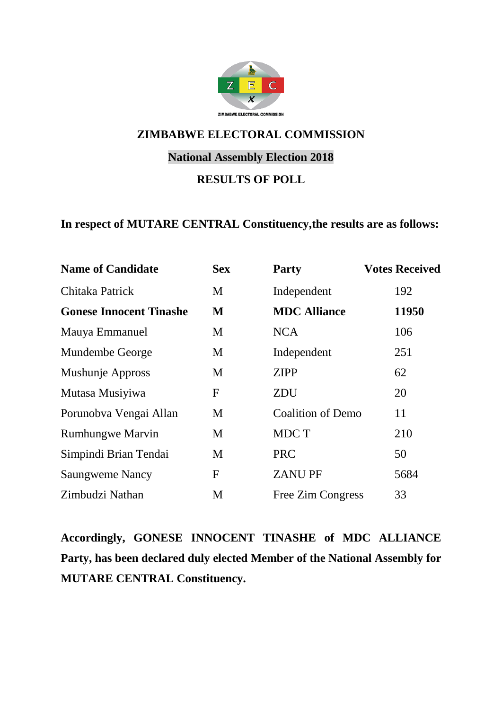

#### **National Assembly Election 2018**

#### **RESULTS OF POLL**

#### **In respect of MUTARE CENTRAL Constituency,the results are as follows:**

| <b>Sex</b>     | <b>Party</b>             | <b>Votes Received</b> |
|----------------|--------------------------|-----------------------|
| M              | Independent              | 192                   |
| M              | <b>MDC Alliance</b>      | 11950                 |
| M              | <b>NCA</b>               | 106                   |
| M              | Independent              | 251                   |
| M              | <b>ZIPP</b>              | 62                    |
| $\overline{F}$ | ZDU                      | 20                    |
| M              | <b>Coalition of Demo</b> | 11                    |
| M              | MDC T                    | 210                   |
| M              | <b>PRC</b>               | 50                    |
| F              | <b>ZANUPF</b>            | 5684                  |
| M              | Free Zim Congress        | 33                    |
|                |                          |                       |

**Accordingly, GONESE INNOCENT TINASHE of MDC ALLIANCE Party, has been declared duly elected Member of the National Assembly for MUTARE CENTRAL Constituency.**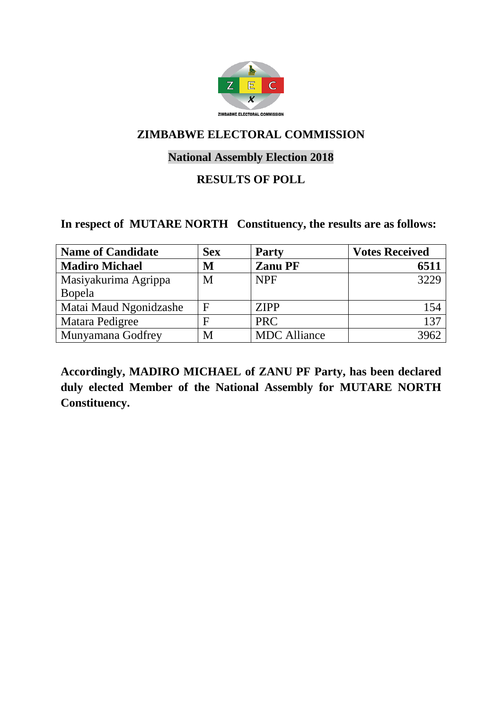

#### **National Assembly Election 2018**

#### **RESULTS OF POLL**

#### **In respect of MUTARE NORTH Constituency, the results are as follows:**

| <b>Name of Candidate</b> | <b>Sex</b>   | <b>Party</b>        | <b>Votes Received</b> |
|--------------------------|--------------|---------------------|-----------------------|
| <b>Madiro Michael</b>    | M            | <b>Zanu PF</b>      | 6511                  |
| Masiyakurima Agrippa     | M            | <b>NPF</b>          | 3229                  |
| Bopela                   |              |                     |                       |
| Matai Maud Ngonidzashe   | $\mathbf{F}$ | <b>ZIPP</b>         | 154                   |
| Matara Pedigree          | F            | <b>PRC</b>          | 137                   |
| Munyamana Godfrey        | M            | <b>MDC</b> Alliance | 3962                  |

**Accordingly, MADIRO MICHAEL of ZANU PF Party, has been declared duly elected Member of the National Assembly for MUTARE NORTH Constituency.**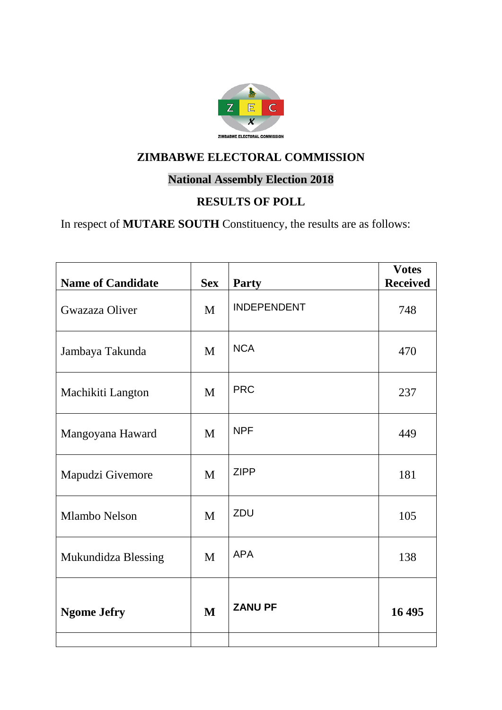

#### **National Assembly Election 2018**

## **RESULTS OF POLL**

In respect of **MUTARE SOUTH** Constituency, the results are as follows:

| <b>Name of Candidate</b> | <b>Sex</b> | Party              | <b>Votes</b><br><b>Received</b> |
|--------------------------|------------|--------------------|---------------------------------|
| Gwazaza Oliver           | M          | <b>INDEPENDENT</b> | 748                             |
| Jambaya Takunda          | M          | <b>NCA</b>         | 470                             |
| Machikiti Langton        | M          | <b>PRC</b>         | 237                             |
| Mangoyana Haward         | M          | <b>NPF</b>         | 449                             |
| Mapudzi Givemore         | M          | <b>ZIPP</b>        | 181                             |
| Mlambo Nelson            | M          | ZDU                | 105                             |
| Mukundidza Blessing      | M          | <b>APA</b>         | 138                             |
| <b>Ngome Jefry</b>       | M          | <b>ZANU PF</b>     | 16 495                          |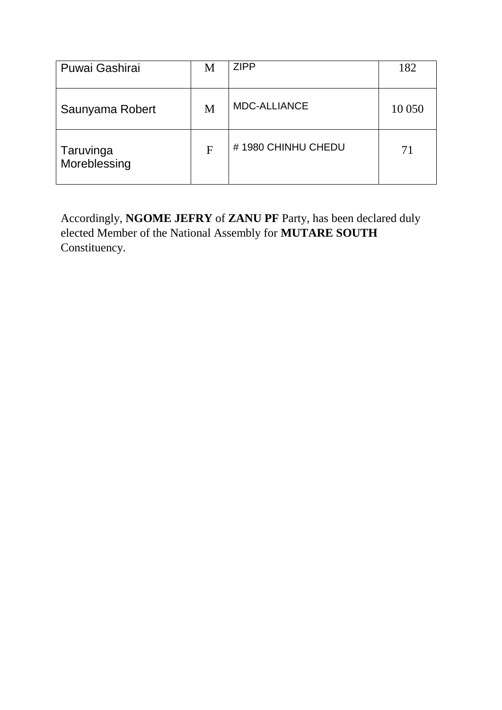| Puwai Gashirai            | M | <b>ZIPP</b>         | 182    |
|---------------------------|---|---------------------|--------|
| Saunyama Robert           | M | <b>MDC-ALLIANCE</b> | 10 050 |
| Taruvinga<br>Moreblessing | F | #1980 CHINHU CHEDU  | 71     |

Accordingly, **NGOME JEFRY** of **ZANU PF** Party, has been declared duly elected Member of the National Assembly for **MUTARE SOUTH**  Constituency.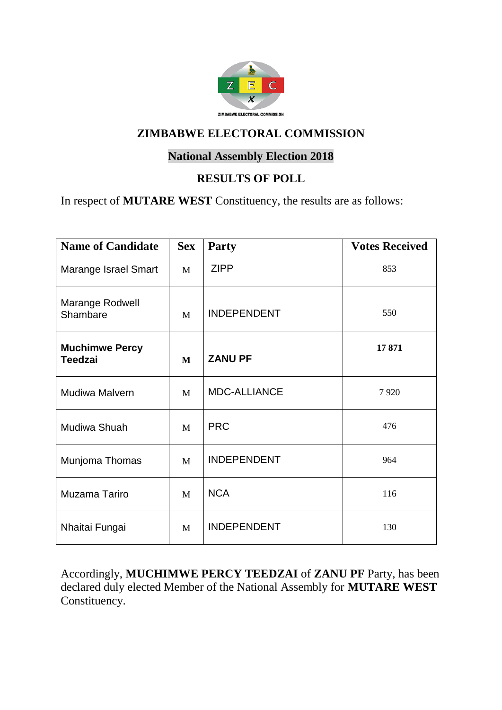

#### **National Assembly Election 2018**

#### **RESULTS OF POLL**

In respect of **MUTARE WEST** Constituency, the results are as follows:

| <b>Name of Candidate</b>                | <b>Sex</b> | <b>Party</b>        | <b>Votes Received</b> |
|-----------------------------------------|------------|---------------------|-----------------------|
| Marange Israel Smart                    | M          | <b>ZIPP</b>         | 853                   |
| Marange Rodwell<br>Shambare             | M          | <b>INDEPENDENT</b>  | 550                   |
| <b>Muchimwe Percy</b><br><b>Teedzai</b> | M          | <b>ZANU PF</b>      | 17871                 |
| Mudiwa Malvern                          | M          | <b>MDC-ALLIANCE</b> | 7920                  |
| Mudiwa Shuah                            | M          | <b>PRC</b>          | 476                   |
| Munjoma Thomas                          | M          | <b>INDEPENDENT</b>  | 964                   |
| Muzama Tariro                           | M          | <b>NCA</b>          | 116                   |
| Nhaitai Fungai                          | M          | <b>INDEPENDENT</b>  | 130                   |

Accordingly, **MUCHIMWE PERCY TEEDZAI** of **ZANU PF** Party, has been declared duly elected Member of the National Assembly for **MUTARE WEST** Constituency.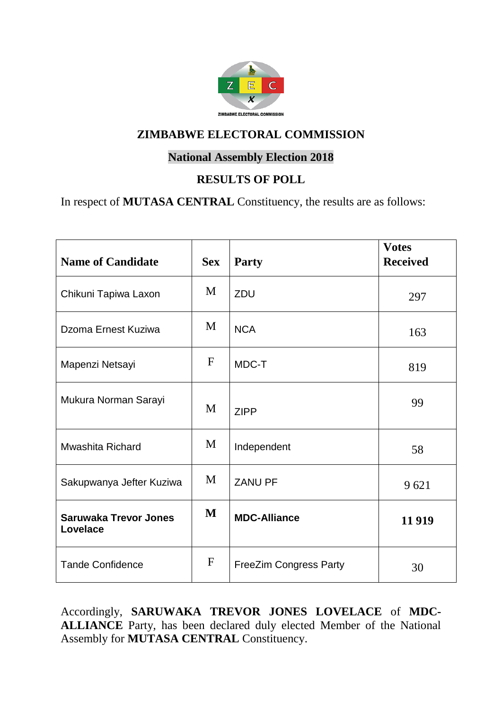

#### **National Assembly Election 2018**

#### **RESULTS OF POLL**

In respect of **MUTASA CENTRAL** Constituency, the results are as follows:

| <b>Name of Candidate</b>                 | <b>Sex</b>   | <b>Party</b>                  | <b>Votes</b><br><b>Received</b> |
|------------------------------------------|--------------|-------------------------------|---------------------------------|
| Chikuni Tapiwa Laxon                     | M            | ZDU                           | 297                             |
| Dzoma Ernest Kuziwa                      | M            | <b>NCA</b>                    | 163                             |
| Mapenzi Netsayi                          | $\mathbf{F}$ | MDC-T                         | 819                             |
| Mukura Norman Sarayi                     | M            | <b>ZIPP</b>                   | 99                              |
| <b>Mwashita Richard</b>                  | M            | Independent                   | 58                              |
| Sakupwanya Jefter Kuziwa                 | M            | <b>ZANU PF</b>                | 9621                            |
| <b>Saruwaka Trevor Jones</b><br>Lovelace | M            | <b>MDC-Alliance</b>           | 11 9 19                         |
| <b>Tande Confidence</b>                  | $\mathbf F$  | <b>FreeZim Congress Party</b> | 30                              |

Accordingly, **SARUWAKA TREVOR JONES LOVELACE** of **MDC-ALLIANCE** Party, has been declared duly elected Member of the National Assembly for **MUTASA CENTRAL** Constituency.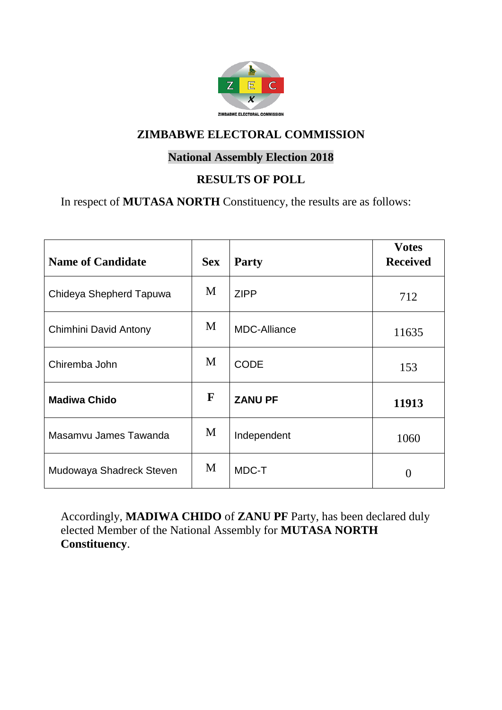

#### **National Assembly Election 2018**

## **RESULTS OF POLL**

In respect of **MUTASA NORTH** Constituency, the results are as follows:

| <b>Name of Candidate</b> | <b>Sex</b> | <b>Party</b>        | <b>Votes</b><br><b>Received</b> |
|--------------------------|------------|---------------------|---------------------------------|
| Chideya Shepherd Tapuwa  | M          | <b>ZIPP</b>         | 712                             |
| Chimhini David Antony    | M          | <b>MDC-Alliance</b> | 11635                           |
| Chiremba John            | M          | <b>CODE</b>         | 153                             |
| <b>Madiwa Chido</b>      | F          | <b>ZANU PF</b>      | 11913                           |
| Masamvu James Tawanda    | M          | Independent         | 1060                            |
| Mudowaya Shadreck Steven | M          | MDC-T               | 0                               |

Accordingly, **MADIWA CHIDO** of **ZANU PF** Party, has been declared duly elected Member of the National Assembly for **MUTASA NORTH Constituency**.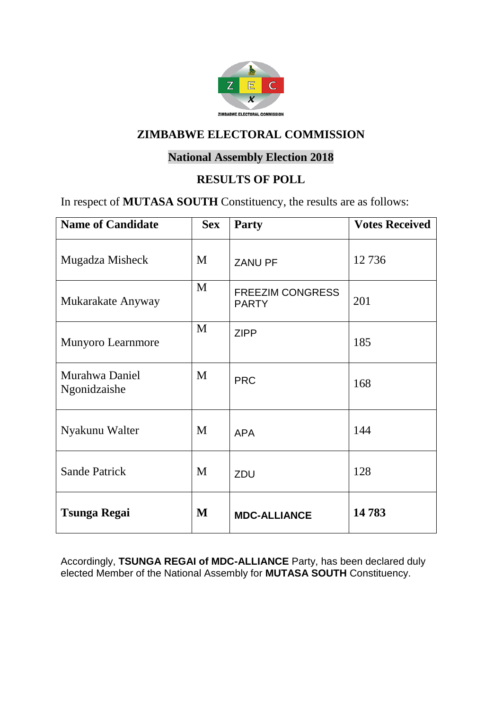

#### **National Assembly Election 2018**

#### **RESULTS OF POLL**

In respect of **MUTASA SOUTH** Constituency, the results are as follows:

| <b>Name of Candidate</b>       | <b>Sex</b> | Party                                   | <b>Votes Received</b> |
|--------------------------------|------------|-----------------------------------------|-----------------------|
| Mugadza Misheck                | M          | <b>ZANU PF</b>                          | 12736                 |
| Mukarakate Anyway              | M          | <b>FREEZIM CONGRESS</b><br><b>PARTY</b> | 201                   |
| <b>Munyoro Learnmore</b>       | M          | <b>ZIPP</b>                             | 185                   |
| Murahwa Daniel<br>Ngonidzaishe | M          | <b>PRC</b>                              | 168                   |
| Nyakunu Walter                 | M          | <b>APA</b>                              | 144                   |
| <b>Sande Patrick</b>           | M          | ZDU                                     | 128                   |
| <b>Tsunga Regai</b>            | M          | <b>MDC-ALLIANCE</b>                     | 14783                 |

Accordingly, **TSUNGA REGAI of MDC-ALLIANCE** Party, has been declared duly elected Member of the National Assembly for **MUTASA SOUTH** Constituency.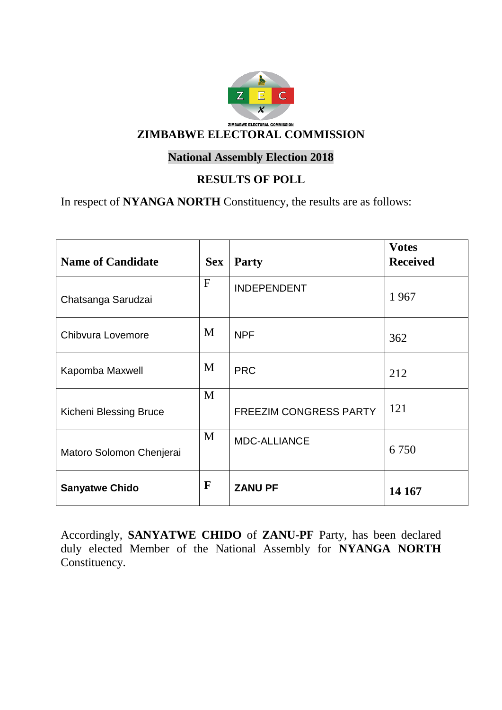

## **National Assembly Election 2018**

## **RESULTS OF POLL**

In respect of **NYANGA NORTH** Constituency, the results are as follows:

| <b>Name of Candidate</b>      | <b>Sex</b>   | <b>Party</b>                  | <b>Votes</b><br><b>Received</b> |
|-------------------------------|--------------|-------------------------------|---------------------------------|
| Chatsanga Sarudzai            | $\mathbf{F}$ | <b>INDEPENDENT</b>            | 1967                            |
| Chibvura Lovemore             | M            | <b>NPF</b>                    | 362                             |
| Kapomba Maxwell               | M            | <b>PRC</b>                    | 212                             |
| <b>Kicheni Blessing Bruce</b> | M            | <b>FREEZIM CONGRESS PARTY</b> | 121                             |
| Matoro Solomon Chenjerai      | M            | <b>MDC-ALLIANCE</b>           | 6 7 5 0                         |
| <b>Sanyatwe Chido</b>         | F            | <b>ZANU PF</b>                | 14 167                          |

Accordingly, **SANYATWE CHIDO** of **ZANU-PF** Party, has been declared duly elected Member of the National Assembly for **NYANGA NORTH**  Constituency.